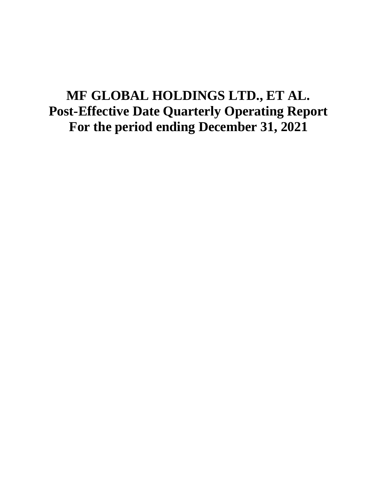# **MF GLOBAL HOLDINGS LTD., ET AL. Post-Effective Date Quarterly Operating Report For the period ending December 31, 2021**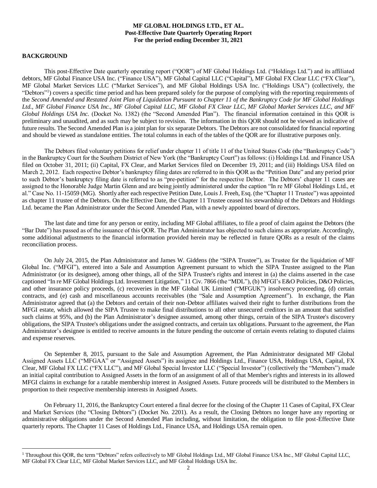## **MF GLOBAL HOLDINGS LTD., ET AL. Post-Effective Date Quarterly Operating Report For the period ending December 31, 2021**

# **BACKGROUND**

 $\overline{\phantom{a}}$ 

This post-Effective Date quarterly operating report ("QOR") of MF Global Holdings Ltd. ("Holdings Ltd.") and its affiliated debtors, MF Global Finance USA Inc. ("Finance USA"), MF Global Capital LLC ("Capital"), MF Global FX Clear LLC ("FX Clear"), MF Global Market Services LLC ("Market Services"), and MF Global Holdings USA Inc. ("Holdings USA") (collectively, the "Debtors"<sup>1</sup>) covers a specific time period and has been prepared solely for the purpose of complying with the reporting requirements of the *Second Amended and Restated Joint Plan of Liquidation Pursuant to Chapter 11 of the Bankruptcy Code for MF Global Holdings Ltd., MF Global Finance USA Inc., MF Global Capital LLC, MF Global FX Clear LLC, MF Global Market Services LLC, and MF Global Holdings USA Inc.* (Docket No. 1382) (the "Second Amended Plan"). The financial information contained in this QOR is preliminary and unaudited, and as such may be subject to revision. The information in this QOR should not be viewed as indicative of future results. The Second Amended Plan is a joint plan for six separate Debtors. The Debtors are not consolidated for financial reporting and should be viewed as standalone entities. The total columns in each of the tables of the QOR are for illustrative purposes only.

The Debtors filed voluntary petitions for relief under chapter 11 of title 11 of the United States Code (the "Bankruptcy Code") in the Bankruptcy Court for the Southern District of New York (the "Bankruptcy Court") as follows: (i) Holdings Ltd. and Finance USA filed on October 31, 2011; (ii) Capital, FX Clear, and Market Services filed on December 19, 2011; and (iii) Holdings USA filed on March 2, 2012. Each respective Debtor's bankruptcy filing dates are referred to in this QOR as the "Petition Date" and any period prior to such Debtor's bankruptcy filing date is referred to as "pre-petition" for the respective Debtor. The Debtors' chapter 11 cases are assigned to the Honorable Judge Martin Glenn and are being jointly administered under the caption "In re MF Global Holdings Ltd., et al." Case No. 11-15059 (MG). Shortly after each respective Petition Date, Louis J. Freeh, Esq. (the "Chapter 11 Trustee") was appointed as chapter 11 trustee of the Debtors. On the Effective Date, the Chapter 11 Trustee ceased his stewardship of the Debtors and Holdings Ltd. became the Plan Administrator under the Second Amended Plan, with a newly appointed board of directors.

The last date and time for any person or entity, including MF Global affiliates, to file a proof of claim against the Debtors (the "Bar Date") has passed as of the issuance of this QOR. The Plan Administrator has objected to such claims as appropriate. Accordingly, some additional adjustments to the financial information provided herein may be reflected in future QORs as a result of the claims reconciliation process.

On July 24, 2015, the Plan Administrator and James W. Giddens (the "SIPA Trustee"), as Trustee for the liquidation of MF Global Inc. ("MFGI"), entered into a Sale and Assumption Agreement pursuant to which the SIPA Trustee assigned to the Plan Administrator (or its designee), among other things, all of the SIPA Trustee's rights and interest in (a) the claims asserted in the case captioned "In re MF Global Holdings Ltd. Investment Litigation," 11 Civ. 7866 (the "MDL"), (b) MFGI's E&O Policies, D&O Policies, and other insurance policy proceeds, (c) recoveries in the MF Global UK Limited ("MFGUK") insolvency proceeding, (d) certain contracts, and (e) cash and miscellaneous accounts receivables (the "Sale and Assumption Agreement"). In exchange, the Plan Administrator agreed that (a) the Debtors and certain of their non-Debtor affiliates waived their right to further distributions from the MFGI estate, which allowed the SIPA Trustee to make final distributions to all other unsecured creditors in an amount that satisfied such claims at 95%, and (b) the Plan Administrator's designee assumed, among other things, certain of the SIPA Trustee's discovery obligations, the SIPA Trustee's obligations under the assigned contracts, and certain tax obligations. Pursuant to the agreement, the Plan Administrator's designee is entitled to receive amounts in the future pending the outcome of certain events relating to disputed claims and expense reserves.

On September 8, 2015, pursuant to the Sale and Assumption Agreement, the Plan Administrator designated MF Global Assigned Assets LLC ("MFGAA" or "Assigned Assets") its assignee and Holdings Ltd., Finance USA, Holdings USA, Capital, FX Clear, MF Global FX LLC ("FX LLC"), and MF Global Special Investor LLC ("Special Investor") (collectively the "Members") made an initial capital contribution to Assigned Assets in the form of an assignment of all of that Member's rights and interests in its allowed MFGI claims in exchange for a ratable membership interest in Assigned Assets. Future proceeds will be distributed to the Members in proportion to their respective membership interests in Assigned Assets.

On February 11, 2016, the Bankruptcy Court entered a final decree for the closing of the Chapter 11 Cases of Capital, FX Clear and Market Services (the "Closing Debtors") (Docket No. 2201). As a result, the Closing Debtors no longer have any reporting or administrative obligations under the Second Amended Plan including, without limitation, the obligation to file post-Effective Date quarterly reports. The Chapter 11 Cases of Holdings Ltd., Finance USA, and Holdings USA remain open.

<sup>&</sup>lt;sup>1</sup> Throughout this QOR, the term "Debtors" refers collectively to MF Global Holdings Ltd., MF Global Finance USA Inc., MF Global Capital LLC, MF Global FX Clear LLC, MF Global Market Services LLC, and MF Global Holdings USA Inc.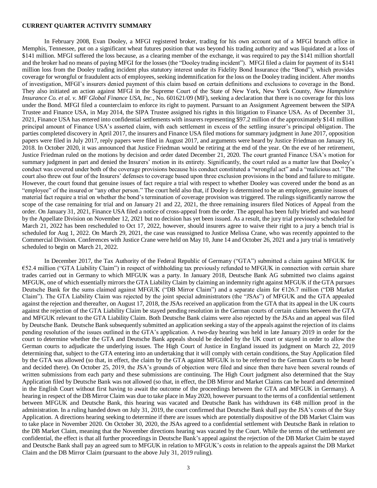#### **CURRENT QUARTER ACTIVITY SUMMARY**

In February 2008, Evan Dooley, a MFGI registered broker, trading for his own account out of a MFGI branch office in Memphis, Tennessee, put on a significant wheat futures position that was beyond his trading authority and was liquidated at a loss of \$141 million. MFGI suffered the loss because, as a clearing member of the exchange, it was required to pay the \$141 million shortfall and the broker had no means of paying MFGI for the losses (the "Dooley trading incident"). MFGI filed a claim for payment of its \$141 million loss from the Dooley trading incident plus statutory interest under its Fidelity Bond Insurance (the "Bond"), which provides coverage for wrongful or fraudulent acts of employees, seeking indemnification for the loss on the Dooley trading incident. After months of investigation, MFGI's insurers denied payment of this claim based on certain definitions and exclusions to coverage in the Bond. They also initiated an action against MFGI in the Supreme Court of the State of New York, New York County, *New Hampshire Insurance Co. et al. v. MF Global Finance USA, Inc.*, No. 601621/09 (MF), seeking a declaration that there is no coverage for this loss under the Bond. MFGI filed a counterclaim to enforce its right to payment. Pursuant to an Assignment Agreement between the SIPA Trustee and Finance USA, in May 2014, the SIPA Trustee assigned his rights in this litigation to Finance USA. As of December 31, 2021, Finance USA has entered into confidential settlements with insurers representing \$97.2 million of the approximately \$141 million principal amount of Finance USA's asserted claim, with each settlement in excess of the settling insurer's principal obligation. The parties completed discovery in April 2017, the insurers and Finance USA filed motions for summary judgment in June 2017, opposition papers were filed in July 2017, reply papers were filed in August 2017, and arguments were heard by Justice Friedman on January 16, 2018. In October 2020, it was announced that Justice Friedman would be retiring at the end of the year. On the eve of her retirement, Justice Friedman ruled on the motions by decision and order dated December 21, 2020. The court granted Finance USA's motion for summary judgment in part and denied the Insurers' motion in its entirety. Significantly, the court ruled as a matter law that Dooley's conduct was covered under both of the coverage provisions because his conduct constituted a "wrongful act" and a "malicious act." The court also threw out four of the Insurers' defenses to coverage based upon three exclusion provisions in the bond and failure to mitigate. However, the court found that genuine issues of fact require a trial with respect to whether Dooley was covered under the bond as an "employee" of the insured or "any other person." The court held also that, if Dooley is determined to be an employee, genuine issues of material fact require a trial on whether the bond's termination of coverage provision was triggered. The rulings significantly narrow the scope of the case remaining for trial and on January 21 and 22, 2021, the three remaining insurers filed Notices of Appeal from the order. On January 31, 2021, Finance USA filed a notice of cross-appeal from the order. The appeal has been fully briefed and was heard by the Appellate Division on November 12, 2021 but no decision has yet been issued. As a result, the jury trial previously scheduled for March 21, 2022 has been rescheduled to Oct 17, 2022, however, should insurers agree to waive their right to a jury a bench trial is scheduled for Aug 1, 2022. On March 29, 2021, the case was reassigned to Justice Melissa Crane, who was recently appointed to the Commercial Division. Conferences with Justice Crane were held on May 10, June 14 and October 26, 2021 and a jury trial is tentatively scheduled to begin on March 21, 2022.

In December 2017, the Tax Authority of the Federal Republic of Germany ("GTA") submitted a claim against MFGUK for €52.4 million ("GTA Liability Claim") in respect of withholding tax previously refunded to MFGUK in connection with certain share trades carried out in Germany to which MFGUK was a party. In January 2018, Deutsche Bank AG submitted two claims against MFGUK, one of which essentially mirrors the GTA Liability Claim by claiming an indemnity right against MFGUK if the GTA pursues Deutsche Bank for the sums claimed against MFGUK ("DB Mirror Claim") and a separate claim for €126.7 million ("DB Market Claim"). The GTA Liability Claim was rejected by the joint special administrators (the "JSAs") of MFGUK and the GTA appealed against the rejection and thereafter, on August 17, 2018, the JSAs received an application from the GTA that its appeal in the UK courts against the rejection of the GTA Liability Claim be stayed pending resolution in the German courts of certain claims between the GTA and MFGUK relevant to the GTA Liability Claim. Both Deutsche Bank claims were also rejected by the JSAs and an appeal was filed by Deutsche Bank. Deutsche Bank subsequently submitted an application seeking a stay of the appeals against the rejection of its claims pending resolution of the issues outlined in the GTA's application. A two-day hearing was held in late January 2019 in order for the court to determine whether the GTA and Deutsche Bank appeals should be decided by the UK court or stayed in order to allow the German courts to adjudicate the underlying issues. The High Court of Justice in England issued its judgment on March 22, 2019 determining that, subject to the GTA entering into an undertaking that it will comply with certain conditions, the Stay Application filed by the GTA was allowed (so that, in effect, the claim by the GTA against MFGUK is to be referred to the German Courts to be heard and decided there). On October 25, 2019, the JSA's grounds of objection were filed and since then there have been several rounds of written submissions from each party and these submissions are continuing. The High Court judgment also determined that the Stay Application filed by Deutsche Bank was not allowed (so that, in effect, the DB Mirror and Market Claims can be heard and determined in the English Court without first having to await the outcome of the proceedings between the GTA and MFGUK in Germany). A hearing in respect of the DB Mirror Claim was due to take place in May 2020, however pursuant to the terms of a confidential settlement between MFGUK and Deutsche Bank, this hearing was vacated and Deutsche Bank has withdrawn its €48 million proof in the administration. In a ruling handed down on July 31, 2019, the court confirmed that Deutsche Bank shall pay the JSA's costs of the Stay Application. A directions hearing seeking to determine if there are issues which are potentially dispositive of the DB Market Claim was to take place in November 2020. On October 30, 2020, the JSAs agreed to a confidential settlement with Deutsche Bank in relation to the DB Market Claim, meaning that the November directions hearing was vacated by the Court. While the terms of the settlement are confidential, the effect is that all further proceedings in Deutsche Bank's appeal against the rejection of the DB Market Claim be stayed and Deutsche Bank shall pay an agreed sum to MFGUK in relation to MFGUK's costs in relation to the appeals against the DB Market Claim and the DB Mirror Claim (pursuant to the above July 31, 2019 ruling).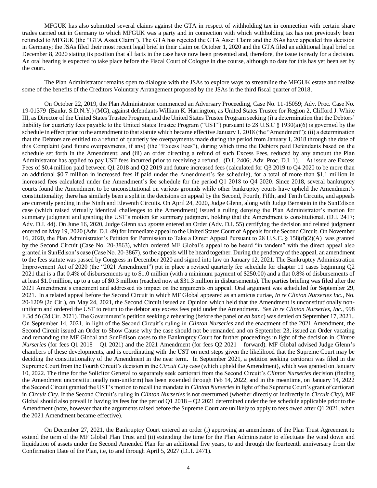MFGUK has also submitted several claims against the GTA in respect of withholding tax in connection with certain share trades carried out in Germany to which MFGUK was a party and in connection with which withholding tax has not previously been refunded to MFGUK (the "GTA Asset Claim"). The GTA has rejected the GTA Asset Claim and the JSAs have appealed this decision in Germany; the JSAs filed their most recent legal brief in their claim on October 1, 2020 and the GTA filed an additional legal brief on December 8, 2020 stating its position that all facts in the case have now been presented and, therefore, the issue is ready for a decision. An oral hearing is expected to take place before the Fiscal Court of Cologne in due course, although no date for this has yet been set by the court.

The Plan Administrator remains open to dialogue with the JSAs to explore ways to streamline the MFGUK estate and realize some of the benefits of the Creditors Voluntary Arrangement proposed by the JSAs in the third fiscal quarter of 2018.

On October 22, 2019, the Plan Administrator commenced an Adversary Proceeding, Case No. 11-15059; Adv. Proc. Case No. 19-01379 (Bankr. S.D.N.Y.) (MG), against defendants William K. Harrington, as United States Trustee for Region 2, Clifford J. White III, as Director of the United States Trustee Program, and the United States Trustee Program seeking (i) a determination that the Debtors' liability for quarterly fees payable to the United States Trustee Program ("UST") pursuant to 28 U.S.C § 1930(a)(6) is governed by the schedule in effect prior to the amendment to that statute which became effective January 1, 2018 (the "Amendment"); (ii) a determination that the Debtors are entitled to a refund of quarterly fee overpayments made during the period from January 1, 2018 through the date of this Complaint (and future overpayments, if any) (the "Excess Fees"), during which time the Debtors paid Defendants based on the schedule set forth in the Amendment; and (iii) an order directing a refund of such Excess Fees, reduced by any amount the Plan Administrator has applied to pay UST fees incurred prior to receiving a refund. (D.I. 2406; Adv. Proc. D.I. 1). At issue are Excess Fees of \$0.4 million paid between Q1 2018 and Q2 2019 and future increased fees (calculated for Q3 2019 to Q4 2020 to be more than an additional \$0.7 million in increased fees if paid under the Amendment's fee schedule), for a total of more than \$1.1 million in increased fees calculated under the Amendment's fee schedule for the period Q1 2018 to Q4 2020. Since 2018, several bankruptcy courts found the Amendment to be unconstitutional on various grounds while other bankruptcy courts have upheld the Amendment's constitutionality; there has similarly been a split in the decisions on appeal by the Second, Fourth, Fifth, and Tenth Circuits, and appeals are currently pending in the Ninth and Eleventh Circuits. On April 24, 2020, Judge Glenn, along with Judge Bernstein in the SunEdison case (which raised virtually identical challenges to the Amendment) issued a ruling denying the Plan Administrator's motion for summary judgment and granting the UST's motion for summary judgment, holding that the Amendment is constitutional. (D.I. 2417; Adv. D.I. 44). On June 16, 2020, Judge Glenn *sua sponte* entered an Order (Adv. D.I. 55) certifying the decision and related judgment entered on May 19, 2020 (Adv. D.I. 49) for immediate appeal to the United States Court of Appeals for the Second Circuit. On November 16, 2020, the Plan Administrator's Petition for Permission to Take a Direct Appeal Pursuant to 28 U.S.C. § 158(d)(2)(A) was granted by the Second Circuit (Case No. 20-3863), which ordered MF Global's appeal to be heard "in tandem" with the direct appeal also granted in SunEdison's case (Case No. 20-3867), so the appeals will be heard together. During the pendency of the appeal, an amendment to the fees statute was passed by Congress in December 2020 and signed into law on January 12, 2021. The Bankruptcy Administration Improvement Act of 2020 (the "2021 Amendment") put in place a revised quarterly fee schedule for chapter 11 cases beginning Q2 2021 that is a flat 0.4% of disbursements up to \$1.0 million (with a minimum payment of \$250.00) and a flat 0.8% of disbursements of at least \$1.0 million, up to a cap of \$0.3 million (reached now at \$31.3 million in disbursements). The parties briefing was filed after the 2021 Amendment's enactment and addressed its impact on the arguments on appeal. Oral argument was scheduled for September 29, 2021. In a related appeal before the Second Circuit in which MF Global appeared as an amicus curiae, *In re Clinton Nurseries Inc.*, No. 20-1209 (2d Cir.), on May 24, 2021, the Second Circuit issued an Opinion which held that the Amendment is unconstitutionally nonuniform and ordered the UST to return to the debtor any excess fees paid under the Amendment. *See In re Clinton Nurseries, Inc.*, 998 F.3d 56 (2d Cir. 2021). The Government's petition seeking a rehearing (before the panel or *en banc*) was denied on September 17, 2021.. On September 14, 2021, in light of the Second Circuit's ruling in *Clinton Nurseries* and the enactment of the 2021 Amendment, the Second Circuit issued an Order to Show Cause why the case should not be remanded and on September 23, issued an Order vacating and remanding the MF Global and SunEdison cases to the Bankruptcy Court for further proceedings in light of the decision in *Clinton Nurseries* (for fees Q1 2018 – Q1 2021) and the 2021 Amendment (for fees Q2 2021 – forward). MF Global advised Judge Glenn's chambers of these developments, and is coordinating with the UST on next steps given the likelihood that the Supreme Court may be deciding the constitutionality of the Amendment in the near term. In September 2021, a petition seeking certiorari was filed in the Supreme Court from the Fourth Circuit's decision in the *Circuit City* case (which upheld the Amendment), which was granted on January 10, 2022. The time for the Solicitor General to separately seek certiorari from the Second Circuit's *Clinton Nurseries* decision (finding the Amendment unconstitutionally non-uniform) has been extended through Feb 14, 2022, and in the meantime, on January 14, 2022 the Second Circuit granted the UST's motion to recall the mandate in *Clinton Nurseries*in light of the Supreme Court's grant of certiorari in *Circuit City*. If the Second Circuit's ruling in *Clinton Nurseries* is not overturned (whether directly or indirectly in *Circuit City*), MF Global should also prevail in having its fees for the period Q1 2018 – Q2 2021 determined under the fee schedule applicable prior to the Amendment (note, however that the arguments raised before the Supreme Court are unlikely to apply to fees owed after Q1 2021, when the 2021 Amendment became effective).

On December 27, 2021, the Bankruptcy Court entered an order (i) approving an amendment of the Plan Trust Agreement to extend the term of the MF Global Plan Trust and (ii) extending the time for the Plan Administrator to effectuate the wind down and liquidation of assets under the Second Amended Plan for an additional five years, to and through the fourteenth anniversary from the Confirmation Date of the Plan, i.e, to and through April 5, 2027 (D..I. 2471).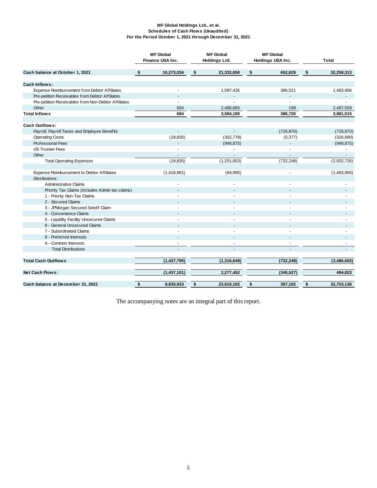#### **MF Global Holdings Ltd., et al. Schedules of Cash Flows (Unaudited) For the Period October 1, 2021 through December 31, 2021**

|                                                     | <b>MF</b> Global |                  | <b>MF</b> Global | <b>MF</b> Global  |    |             |
|-----------------------------------------------------|------------------|------------------|------------------|-------------------|----|-------------|
|                                                     |                  | Finance USA Inc. | Holdings Ltd.    | Holdings USA Inc. |    | Total       |
| Cash balance at October 1, 2021                     | \$               | 10,273,034       | \$<br>21,332,650 | \$<br>652,629     | \$ | 32,258,313  |
| Cash Inflows:                                       |                  |                  |                  |                   |    |             |
| Expense Reimbursement from Debtor Affiliates        |                  |                  | 1,097,435        | 386,521           |    | 1,483,956   |
| Pre-petition Receivables from Debtor Affiliates     |                  | $\overline{a}$   |                  |                   |    |             |
| Pre-petition Receivables from Non-Debtor Affiliates |                  |                  |                  |                   |    |             |
| Other                                               |                  | 694              | 2,496,665        | 199               |    | 2,497,559   |
| <b>Total Inflows</b>                                |                  | 694              | 3,594,100        | 386,720           |    | 3,981,515   |
|                                                     |                  |                  |                  |                   |    |             |
| Cash Outflows:                                      |                  |                  |                  |                   |    |             |
| Payroll, Payroll Taxes and Employee Benefits        |                  | $\mathbf{r}$     |                  | (726, 870)        |    | (726, 870)  |
| <b>Operating Costs</b>                              |                  | (18, 835)        | (302, 778)       | (5, 377)          |    | (326,990)   |
| Professional Fees                                   |                  |                  | (948, 875)       |                   |    | (948, 875)  |
| <b>US Trustee Fees</b>                              |                  |                  |                  |                   |    |             |
| Other                                               |                  | $\blacksquare$   |                  | $\blacksquare$    |    |             |
| <b>Total Operating Expenses</b>                     |                  | (18, 835)        | (1,251,653)      | (732, 248)        |    | (2,002,735) |
|                                                     |                  |                  |                  |                   |    |             |
| Expense Reimbursement to Debtor Affiliates          |                  | (1,418,961)      | (64, 995)        | ä,                |    | (1,483,956) |
| Distributions:                                      |                  |                  |                  |                   |    |             |
| <b>Administrative Claims</b>                        |                  |                  |                  |                   |    |             |
| Priority Tax Claims (includes Admin tax claims)     |                  |                  |                  |                   |    |             |
| 1 - Priority Non-Tax Claims                         |                  |                  |                  |                   |    |             |
| 2 - Secured Claims                                  |                  |                  |                  |                   |    |             |
| 3 - JPMorgan Secured Setoff Claim                   |                  |                  |                  |                   |    |             |
| 4 - Convenience Claims                              |                  |                  |                  |                   |    |             |
| 5 - Liquidity Facility Unsecured Claims             |                  |                  |                  |                   |    |             |
| 6 - General Unsecured Claims                        |                  |                  |                  |                   |    |             |
| 7 - Subordinated Claims                             |                  |                  |                  |                   |    |             |
| 8 - Preferred Interests                             |                  | $\overline{a}$   | ÷.               | ÷.                |    |             |
| 9 - Common Interests                                |                  |                  |                  | ä,                |    |             |
| <b>Total Distributions</b>                          |                  | $\overline{a}$   | ÷.               | $\overline{a}$    |    |             |
|                                                     |                  |                  |                  |                   |    |             |
| <b>Total Cash Outflows</b>                          |                  | (1,437,795)      | (1,316,649)      | (732, 248)        |    | (3,486,692) |
|                                                     |                  |                  |                  |                   |    |             |
| Net Cash Flows:                                     |                  | (1,437,101)      | 2,277,452        | (345, 527)        |    | 494,823     |
|                                                     |                  |                  |                  |                   |    |             |
| Cash balance at December 31, 2021                   | \$               | 8,835,933        | \$<br>23,610,102 | \$<br>307,102     | \$ | 32,753,136  |

The accompanying notes are an integral part of this report.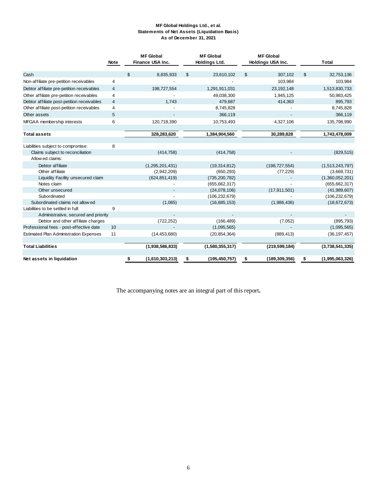#### **MF Global Holdings Ltd., et al. Statements of Net Assets (Liquidation Basis) As of December 31, 2021**

|                                               |             | <b>MF Global</b>        | <b>MF</b> Global      | <b>MF</b> Global      |                       |
|-----------------------------------------------|-------------|-------------------------|-----------------------|-----------------------|-----------------------|
|                                               | <b>Note</b> | <b>Finance USA Inc.</b> | <b>Holdings Ltd.</b>  | Holdings USA Inc.     | <b>Total</b>          |
|                                               |             |                         |                       |                       |                       |
| Cash                                          |             | 8,835,933<br>\$         | \$<br>23,610,102      | \$<br>307,102         | \$<br>32,753,136      |
| Non-affiliate pre-petition receivables        | 4           |                         |                       | 103,984               | 103,984               |
| Debtor affiliate pre-petition receivables     | 4           | 198,727,554             | 1,291,911,031         | 23,192,148            | 1,513,830,733         |
| Other affiliate pre-petition receivables      | 4           |                         | 49,038,300            | 1,945,125             | 50,983,425            |
| Debtor affiliate post-petition receivables    | 4           | 1,743                   | 479,687               | 414,363               | 895,793               |
| Other affiliate post-petition receivables     | 4           |                         | 8,745,828             |                       | 8,745,828             |
| Other assets                                  | 5           |                         | 366,119               |                       | 366,119               |
| MFGAA membership interests                    | 6           | 120,718,390             | 10,753,493            | 4,327,106             | 135,798,990           |
|                                               |             |                         |                       |                       |                       |
| <b>Total assets</b>                           |             | 328,283,620             | 1,384,904,560         | 30,289,828            | 1,743,478,009         |
|                                               |             |                         |                       |                       |                       |
| Liabilities subject to compromise:            | 8           |                         |                       |                       |                       |
| Claims subject to reconciliation              |             | (414, 758)              | (414, 758)            |                       | (829, 515)            |
| Allow ed claims:                              |             |                         |                       |                       |                       |
| Debtor affiliate                              |             | (1,295,201,431)         | (19, 314, 812)        | (198, 727, 554)       | (1,513,243,797)       |
| Other affiliate                               |             | (2,942,209)             | (650, 293)            | (77, 229)             | (3,669,731)           |
| Liquidity Facility unsecured claim            |             | (624, 851, 419)         | (735, 200, 782)       |                       | (1,360,052,201)       |
| Notes claim                                   |             |                         | (655, 662, 317)       |                       | (655, 662, 317)       |
| Other unsecured                               |             |                         | (24,078,106)          | (17, 911, 501)        | (41,989,607)          |
| Subordinated                                  |             |                         | (106, 232, 679)       |                       | (106, 232, 679)       |
| Subordinated claims not allow ed              |             | (1,085)                 | (16,685,153)          | (1,986,436)           | (18,672,673)          |
| Liabilities to be settled in full:            | 9           |                         |                       |                       |                       |
| Administrative, secured and priority          |             |                         |                       |                       |                       |
| Debtor and other affiliate charges            |             | (722, 252)              | (166, 489)            | (7,052)               | (895, 793)            |
| Professional fees - post-effective date       | 10          |                         | (1,095,565)           |                       | (1,095,565)           |
| <b>Estimated Plan Administration Expenses</b> | 11          | (14, 453, 680)          | (20, 854, 364)        | (889, 413)            | (36, 197, 457)        |
|                                               |             |                         |                       |                       |                       |
| <b>Total Liabilities</b>                      |             | (1,938,586,833)         | (1,580,355,317)       | (219, 599, 184)       | (3,738,541,335)       |
|                                               |             |                         |                       |                       |                       |
| Net assets in liquidation                     |             | (1,610,303,213)<br>\$   | (195, 450, 757)<br>\$ | (189, 309, 356)<br>\$ | \$<br>(1,995,063,326) |

The accompanying notes are an integral part of this report**.**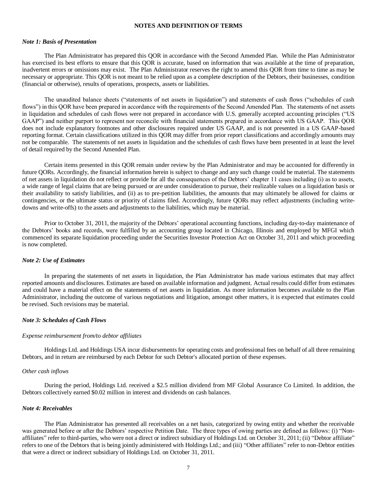#### **NOTES AND DEFINITION OF TERMS**

# *Note 1: Basis of Presentation*

The Plan Administrator has prepared this QOR in accordance with the Second Amended Plan. While the Plan Administrator has exercised its best efforts to ensure that this QOR is accurate, based on information that was available at the time of preparation, inadvertent errors or omissions may exist. The Plan Administrator reserves the right to amend this QOR from time to time as may be necessary or appropriate. This QOR is not meant to be relied upon as a complete description of the Debtors, their businesses, condition (financial or otherwise), results of operations, prospects, assets or liabilities.

The unaudited balance sheets ("statements of net assets in liquidation") and statements of cash flows ("schedules of cash flows") in this QOR have been prepared in accordance with the requirements of the Second Amended Plan. The statements of net assets in liquidation and schedules of cash flows were not prepared in accordance with U.S. generally accepted accounting principles ("US GAAP") and neither purport to represent nor reconcile with financial statements prepared in accordance with US GAAP. This QOR does not include explanatory footnotes and other disclosures required under US GAAP, and is not presented in a US GAAP-based reporting format. Certain classifications utilized in this QOR may differ from prior report classifications and accordingly amounts may not be comparable. The statements of net assets in liquidation and the schedules of cash flows have been presented in at least the level of detail required by the Second Amended Plan.

Certain items presented in this QOR remain under review by the Plan Administrator and may be accounted for differently in future QORs. Accordingly, the financial information herein is subject to change and any such change could be material. The statements of net assets in liquidation do not reflect or provide for all the consequences of the Debtors' chapter 11 cases including (i) as to assets, a wide range of legal claims that are being pursued or are under consideration to pursue, their realizable values on a liquidation basis or their availability to satisfy liabilities, and (ii) as to pre-petition liabilities, the amounts that may ultimately be allowed for claims or contingencies, or the ultimate status or priority of claims filed. Accordingly, future QORs may reflect adjustments (including writedowns and write-offs) to the assets and adjustments to the liabilities, which may be material.

Prior to October 31, 2011, the majority of the Debtors' operational accounting functions, including day-to-day maintenance of the Debtors' books and records, were fulfilled by an accounting group located in Chicago, Illinois and employed by MFGI which commenced its separate liquidation proceeding under the Securities Investor Protection Act on October 31, 2011 and which proceeding is now completed.

## *Note 2: Use of Estimates*

In preparing the statements of net assets in liquidation, the Plan Administrator has made various estimates that may affect reported amounts and disclosures. Estimates are based on available information and judgment. Actual results could differ from estimates and could have a material effect on the statements of net assets in liquidation. As more information becomes available to the Plan Administrator, including the outcome of various negotiations and litigation, amongst other matters, it is expected that estimates could be revised. Such revisions may be material.

#### *Note 3: Schedules of Cash Flows*

### *Expense reimbursement from/to debtor affiliates*

Holdings Ltd. and Holdings USA incur disbursements for operating costs and professional fees on behalf of all three remaining Debtors, and in return are reimbursed by each Debtor for such Debtor's allocated portion of these expenses.

#### *Other cash inflows*

During the period, Holdings Ltd. received a \$2.5 million dividend from MF Global Assurance Co Limited. In addition, the Debtors collectively earned \$0.02 million in interest and dividends on cash balances.

#### *Note 4: Receivables*

The Plan Administrator has presented all receivables on a net basis, categorized by owing entity and whether the receivable was generated before or after the Debtors' respective Petition Date. The three types of owing parties are defined as follows: (i) "Nonaffiliates" refer to third-parties, who were not a direct or indirect subsidiary of Holdings Ltd. on October 31, 2011; (ii) "Debtor affiliate" refers to one of the Debtors that is being jointly administered with Holdings Ltd.; and (iii) "Other affiliates" refer to non-Debtor entities that were a direct or indirect subsidiary of Holdings Ltd. on October 31, 2011.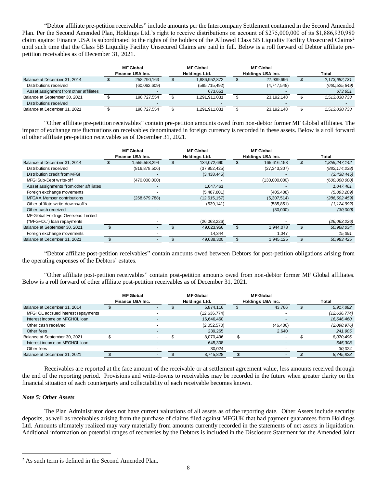"Debtor affiliate pre-petition receivables" include amounts per the Intercompany Settlement contained in the Second Amended Plan. Per the Second Amended Plan, Holdings Ltd.'s right to receive distributions on account of \$275,000,000 of its \$1,886,930,980 claim against Finance USA is subordinated to the rights of the holders of the Allowed Class 5B Liquidity Facility Unsecured Claims<sup>2</sup> until such time that the Class 5B Liquidity Facility Unsecured Claims are paid in full. Below is a roll forward of Debtor affiliate prepetition receivables as of December 31, 2021.

|                                        | <b>MF Global</b><br>Finance USA Inc. | <b>MF Global</b><br>Holdinas Ltd. | <b>MF Global</b><br>Holdings USA Inc. | Total            |
|----------------------------------------|--------------------------------------|-----------------------------------|---------------------------------------|------------------|
| Balance at December 31, 2014           | 258,790,163                          | 1,886,952,872                     | 27,939,696                            | 2, 173, 682, 731 |
| Distributions received                 | (60,062,609)                         | (595, 715, 492)                   | (4,747,548)                           | (660, 525, 649)  |
| Asset assignment from other affiliates |                                      | 673.651                           |                                       | 673.651          |
| Balance at September 30, 2021          | 198.727.554                          | 1.291.911.031                     | 23.192.148                            | 1,513,830,733    |
| Distributions received                 | -                                    |                                   |                                       |                  |
| Balance at December 31, 2021           | 198,727,554                          | 1,291,911,031                     | 23.192.148                            | 1,513,830,733    |

"Other affiliate pre-petition receivables" contain pre-petition amounts owed from non-debtor former MF Global affiliates. The impact of exchange rate fluctuations on receivables denominated in foreign currency is recorded in these assets. Below is a roll forward of other affiliate pre-petition receivables as of December 31, 2021.

|                                         | <b>MF</b> Global         | <b>MF Global</b> |                |     | <b>MF Global</b>  |                 |
|-----------------------------------------|--------------------------|------------------|----------------|-----|-------------------|-----------------|
|                                         | Finance USA Inc.         |                  | Holdings Ltd.  |     | Holdings USA Inc. | Total           |
| Balance at December 31, 2014            | 1,555,558,294            |                  | 134,072,690    | \$. | 165,616,158       | 1,855,247,142   |
| Distributions received                  | (816, 878, 506)          |                  | (37, 952, 425) |     | (27, 343, 307)    | (882, 174, 238) |
| Distribution credit from MFGI           | $\overline{\phantom{a}}$ |                  | (3,438,445)    |     | $\overline{a}$    | (3, 438, 445)   |
| MFGI Sub-Debt w rite-off                | (470,000,000)            |                  |                |     | (130,000,000)     | (600,000,000)   |
| Asset assignments from other affiliates | $\overline{\phantom{a}}$ |                  | 1.047.461      |     |                   | 1,047,461       |
| Foreign exchange movements              | $\overline{\phantom{a}}$ |                  | (5,487,801)    |     | (405, 408)        | (5,893,209)     |
| MFGAA Member contributions              | (268, 679, 788)          |                  | (12,615,157)   |     | (5,307,514)       | (286, 602, 459) |
| Other affiliate w rite-downs/offs       | $\overline{\phantom{a}}$ |                  | (539, 141)     |     | (585, 851)        | (1, 124, 992)   |
| Other cash received                     | $\blacksquare$           |                  |                |     | (30,000)          | (30,000)        |
| MF Global Holdings Overseas Limited     |                          |                  |                |     |                   |                 |
| ("MFGHOL") loan repayments              |                          |                  | (26,063,226)   |     |                   | (26,063,226)    |
| Balance at September 30, 2021           |                          |                  | 49,023,956     | \$. | 1.944.078         | 50,968,034      |
| Foreign exchange movements              |                          |                  | 14,344         |     | 1,047             | 15,391          |
| Balance at December 31, 2021            |                          |                  | 49.038.300     | \$. | 1,945,125         | 50.983.425      |

"Debtor affiliate post-petition receivables" contain amounts owed between Debtors for post-petition obligations arising from the operating expenses of the Debtors' estates.

"Other affiliate post-petition receivables" contain post-petition amounts owed from non-debtor former MF Global affiliates. Below is a roll forward of other affiliate post-petition receivables as of December 31, 2021.

|                                    | <b>MF Global</b>         |               | <b>MF Global</b> |                   | <b>MF Global</b> |                |
|------------------------------------|--------------------------|---------------|------------------|-------------------|------------------|----------------|
|                                    | Finance USA Inc.         | Holdings Ltd. |                  | Holdings USA Inc. |                  | Total          |
| Balance at December 31, 2014       | $\overline{\phantom{a}}$ |               | 5,874,116        |                   | 43,766           | 5,917,882      |
| MFGHOL accrued interest repayments |                          |               | (12,636,774)     |                   |                  | (12, 636, 774) |
| Interest income on MFGHOL loan     | $\overline{\phantom{a}}$ |               | 16,646,460       |                   |                  | 16,646,460     |
| Other cash received                |                          |               | (2,052,570)      |                   | (46,406)         | (2,098,976)    |
| Other fees                         | $\overline{\phantom{a}}$ |               | 239,265          |                   | 2,640            | 241,905        |
| Balance at September 30, 2021      |                          |               | 8.070.496        |                   |                  | 8,070,496      |
| Interest income on MFGHOL loan     | $\overline{\phantom{a}}$ |               | 645,308          |                   |                  | 645,308        |
| Other fees                         |                          |               | 30.024           |                   |                  | 30,024         |
| Balance at December 31, 2021       |                          |               | 8,745,828        |                   |                  | 8,745,828      |

Receivables are reported at the face amount of the receivable or at settlement agreement value, less amounts received through the end of the reporting period. Provisions and write-downs to receivables may be recorded in the future when greater clarity on the financial situation of each counterparty and collectability of each receivable becomes known.

# *Note 5: Other Assets*

 $\overline{a}$ 

The Plan Administrator does not have current valuations of all assets as of the reporting date. Other Assets include security deposits, as well as receivables arising from the purchase of claims filed against MFGUK that had payment guarantees from Holdings Ltd. Amounts ultimately realized may vary materially from amounts currently recorded in the statements of net assets in liquidation. Additional information on potential ranges of recoveries by the Debtors is included in the Disclosure Statement for the Amended Joint

<sup>2</sup> As such term is defined in the Second Amended Plan.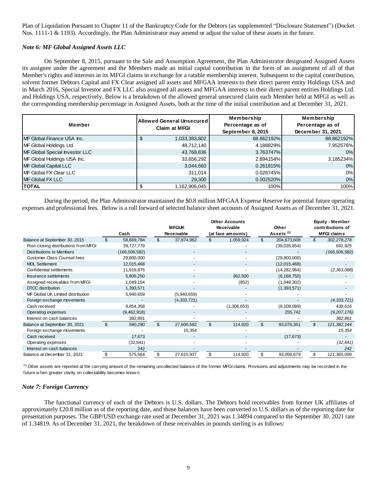Plan of Liquidation Pursuant to Chapter 11 of the Bankruptcy Code for the Debtors (as supplemented "Disclosure Statement") (Docket Nos. 1111-1 & 1193). Accordingly, the Plan Administrator may amend or adjust the value of these assets in the future.

## *Note 6: MF Global Assigned Assets LLC*

On September 8, 2015, pursuant to the Sale and Assumption Agreement, the Plan Administrator designated Assigned Assets its assignee under the agreement and the Members made an initial capital contribution in the form of an assignment of all of that Member's rights and interests in its MFGI claims in exchange for a ratable membership interest. Subsequent to the capital contribution, solvent former Debtors Capital and FX Clear assigned all assets and MFGAA interests to their direct parent entity Holdings USA and in March 2016, Special Investor and FX LLC also assigned all assets and MFGAA interests to their direct parent entities Holdings Ltd. and Holdings USA, respectively. Below is a breakdown of the allowed general unsecured claim each Member held at MFGI as well as the corresponding membership percentage in Assigned Assets, both at the time of the initial contribution and at December 31, 2021.

| Member                         | <b>Allowed General Unsecured  </b> | Membership        | Membership        |
|--------------------------------|------------------------------------|-------------------|-------------------|
|                                | <b>Claim at MFGI</b>               | Percentage as of  | Percentage as of  |
|                                |                                    | September 8, 2015 | December 31, 2021 |
| MF Global Finance USA Inc.     | \$<br>1,033,383,802                | 88.862192%        | 88.862192%        |
| MF Global Holdings Ltd.        | 48,712,140                         | 4.188829%         | 7.952576%         |
| MF Global Special Investor LLC | 43,768,836                         | 3.763747%         | 0%                |
| MF Global Holdings USA Inc.    | 33,656,292                         | 2.894154%         | 3.185234%         |
| MF Global Capital LLC          | 3,044,660                          | 0.261815%         | 0%                |
| <b>IMF Global FX Clear LLC</b> | 311.014                            | 0.026745%         | 0%                |
| MF Global FX LLC               | 29,300                             | 0.002520%         | 0%                |
| <b>TOTAL</b>                   | 1,162,906,045                      | 100%              | 100%              |

During the period, the Plan Administrator maintained the \$0.8 million MFGAA Expense Reserve for potential future operating expenses and professional fees. Below is a roll forward of selected balance sheet accounts of Assigned Assets as of December 31, 2021.

|                                                                                                                                                                                   |                |                 |                |                          |                | <b>Other Accounts</b>    |                |                       | Equity - Member    |
|-----------------------------------------------------------------------------------------------------------------------------------------------------------------------------------|----------------|-----------------|----------------|--------------------------|----------------|--------------------------|----------------|-----------------------|--------------------|
|                                                                                                                                                                                   |                |                 |                | <b>MFGUK</b>             |                | Receivable               |                | Other                 | contributions of   |
|                                                                                                                                                                                   |                | Cash            |                | <b>Receivable</b>        |                | (at face amounts)        |                | Assets <sup>(1)</sup> | <b>MFGI claims</b> |
| Balance at September 30, 2015                                                                                                                                                     | \$             | 58,669,784      | $\mathfrak{S}$ | 37,874,962               | \$             | 1,059,924                | $\mathfrak{S}$ | 204,673,608           | \$<br>302,278,278  |
| Post-closing distributions from MFGI                                                                                                                                              |                | 39,727,779      |                |                          |                |                          |                | (39,035,854)          | 691,925            |
| <b>Distributions to Members</b>                                                                                                                                                   |                | (166, 506, 582) |                | $\overline{\phantom{a}}$ |                |                          |                |                       | (166, 506, 582)    |
| <b>Customer Class Counsel fees</b>                                                                                                                                                |                | 29,800,000      |                |                          |                | $\overline{\phantom{a}}$ |                | (29,800,000)          |                    |
| <b>MDL Settlement</b>                                                                                                                                                             |                | 12,015,468      |                |                          |                |                          |                | (12,015,468)          |                    |
| Confidential settlements                                                                                                                                                          |                | 11,919,875      |                |                          |                |                          |                | (14, 282, 964)        | (2, 363, 088)      |
| Insurance settlements                                                                                                                                                             |                | 5,806,250       |                |                          |                | 362,500                  |                | (6, 168, 750)         |                    |
| Assigned receivables from MFGI                                                                                                                                                    |                | 1,049,154       |                |                          |                | (852)                    |                | (1,048,302)           |                    |
| <b>DTCC</b> distribution                                                                                                                                                          |                | 1,393,571       |                |                          |                |                          |                | (1,393,571)           |                    |
| MF Global UK Limited distribution                                                                                                                                                 |                | 5,940,659       |                | (5,940,659)              |                |                          |                |                       |                    |
| Foreign exchange movements                                                                                                                                                        |                |                 |                | (4,333,721)              |                |                          |                |                       | (4,333,721)        |
| Cash received                                                                                                                                                                     |                | 9,854,358       |                |                          |                | (1,306,653)              |                | (8, 108, 089)         | 439,616            |
| Operating expenses                                                                                                                                                                |                | (9,462,918)     |                |                          |                |                          |                | 255,742               | (9,207,176)        |
| Interest on cash balances                                                                                                                                                         |                | 382,891         |                |                          |                |                          |                |                       | 382,891            |
| Balance at September 30, 2021                                                                                                                                                     | $\mathfrak{L}$ | 590,290         | $\mathfrak{L}$ | 27,600,582               | $\mathfrak{L}$ | 114,920                  | \$             | 93,076,351            | \$<br>121,382,144  |
| Foreign exchange movements                                                                                                                                                        |                |                 |                | 15,354                   |                |                          |                |                       | 15,354             |
| Cash received                                                                                                                                                                     |                | 17,673          |                |                          |                |                          |                | (17, 673)             |                    |
| Operating expenses                                                                                                                                                                |                | (32, 641)       |                |                          |                |                          |                |                       | (32, 641)          |
| Interest on cash balances                                                                                                                                                         |                | 242             |                |                          |                |                          |                |                       | 242                |
| Balance at December 31, 2021                                                                                                                                                      | -\$            | 575,564         | \$             | 27,615,937               | \$             | 114,920                  | \$             | 93,058,679            | \$<br>121,365,099  |
| <sup>(1)</sup> Other assets are reported at the carrying amount of the remaining uncollected balance of the former MFGI claims. Provisions and adjustments may be recorded in the |                |                 |                |                          |                |                          |                |                       |                    |
| future when greater clarity on collectability becomes known.                                                                                                                      |                |                 |                |                          |                |                          |                |                       |                    |

# *Note 7: Foreign Currency*

The functional currency of each of the Debtors is U.S. dollars. The Debtors hold receivables from former UK affiliates of approximately £20.8 million as of the reporting date, and those balances have been converted to U.S. dollars as of the reporting date for presentation purposes. The GBP/USD exchange rate used at December 31, 2021 was 1.34894 compared to the September 30, 2021 rate of 1.34819. As of December 31, 2021, the breakdown of these receivables in pounds sterling is as follows: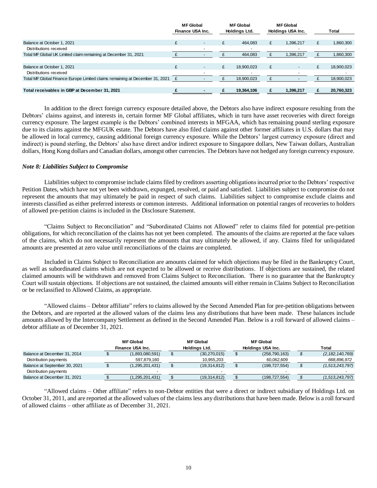|                                                                              | <b>MF Global</b><br>Finance USA Inc. |  | <b>MF</b> Global<br>Holdings Ltd. |   | <b>MF Global</b><br>Holdings USA Inc. |   | <b>Total</b> |
|------------------------------------------------------------------------------|--------------------------------------|--|-----------------------------------|---|---------------------------------------|---|--------------|
| Balance at October 1, 2021                                                   | £                                    |  | 464.083                           | £ | 1,396,217                             | £ | 1,860,300    |
| Distributions received                                                       |                                      |  |                                   |   |                                       |   |              |
| Total MF Global UK Limited claim remaining at December 31, 2021              |                                      |  | 464.083                           |   | 1,396,217                             |   | 860,300      |
|                                                                              |                                      |  |                                   |   |                                       |   |              |
| Balance at October 1, 2021                                                   | £                                    |  | 18,900,023                        | £ |                                       | £ | 18,900,023   |
| Distributions received                                                       |                                      |  |                                   |   |                                       |   |              |
| Total MF Global Finance Europe Limited claims remaining at December 31, 2021 |                                      |  | 18,900,023                        |   |                                       |   | 18,900,023   |
|                                                                              |                                      |  |                                   |   |                                       |   |              |
| Total receivables in GBP at December 31, 2021                                |                                      |  | 19.364.106                        |   | 1.396.217                             |   | 20,760,323   |

In addition to the direct foreign currency exposure detailed above, the Debtors also have indirect exposure resulting from the Debtors' claims against, and interests in, certain former MF Global affiliates, which in turn have asset recoveries with direct foreign currency exposure. The largest example is the Debtors' combined interests in MFGAA, which has remaining pound sterling exposure due to its claims against the MFGUK estate. The Debtors have also filed claims against other former affiliates in U.S. dollars that may be allowed in local currency, causing additional foreign currency exposure. While the Debtors' largest currency exposure (direct and indirect) is pound sterling, the Debtors' also have direct and/or indirect exposure to Singapore dollars, New Taiwan dollars, Australian dollars, Hong Kong dollars and Canadian dollars, amongst other currencies. The Debtors have not hedged any foreign currency exposure.

## *Note 8: Liabilities Subject to Compromise*

Liabilities subject to compromise include claims filed by creditors asserting obligations incurred prior to the Debtors' respective Petition Dates, which have not yet been withdrawn, expunged, resolved, or paid and satisfied. Liabilities subject to compromise do not represent the amounts that may ultimately be paid in respect of such claims. Liabilities subject to compromise exclude claims and interests classified as either preferred interests or common interests. Additional information on potential ranges of recoveries to holders of allowed pre-petition claims is included in the Disclosure Statement.

"Claims Subject to Reconciliation" and "Subordinated Claims not Allowed" refer to claims filed for potential pre-petition obligations, for which reconciliation of the claims has not yet been completed. The amounts of the claims are reported at the face values of the claims, which do not necessarily represent the amounts that may ultimately be allowed, if any. Claims filed for unliquidated amounts are presented at zero value until reconciliations of the claims are completed.

Included in Claims Subject to Reconciliation are amounts claimed for which objections may be filed in the Bankruptcy Court, as well as subordinated claims which are not expected to be allowed or receive distributions. If objections are sustained, the related claimed amounts will be withdrawn and removed from Claims Subject to Reconciliation. There is no guarantee that the Bankruptcy Court will sustain objections. If objections are not sustained, the claimed amounts will either remain in Claims Subject to Reconciliation or be reclassified to Allowed Claims, as appropriate.

"Allowed claims – Debtor affiliate" refers to claims allowed by the Second Amended Plan for pre-petition obligations between the Debtors, and are reported at the allowed values of the claims less any distributions that have been made. These balances include amounts allowed by the Intercompany Settlement as defined in the Second Amended Plan. Below is a roll forward of allowed claims – debtor affiliate as of December 31, 2021.

|                               | <b>MF Global</b><br>Finance USA Inc. | <b>MF</b> Global<br>Holdings Ltd. |  | <b>MF Global</b><br>Holdings USA Inc. | Total              |
|-------------------------------|--------------------------------------|-----------------------------------|--|---------------------------------------|--------------------|
| Balance at December 31, 2014  | (1,893,080,591)                      | (30, 270, 015)                    |  | (258, 790, 163)                       | (2, 182, 140, 769) |
| Distribution payments         | 597,879,160                          | 10,955,203                        |  | 60,062,609                            | 668,896,972        |
| Balance at September 30, 2021 | (1,295,201,431)                      | (19,314,812)                      |  | (198, 727, 554)                       | (1,513,243,797)    |
| Distribution payments         |                                      |                                   |  |                                       |                    |
| Balance at December 31, 2021  | (1,295,201,431)                      | (19,314,812)                      |  | (198, 727, 554)                       | (1,513,243,797)    |

"Allowed claims – Other affiliate" refers to non-Debtor entities that were a direct or indirect subsidiary of Holdings Ltd. on October 31, 2011, and are reported at the allowed values of the claims less any distributions that have been made. Below is a roll forward of allowed claims – other affiliate as of December 31, 2021.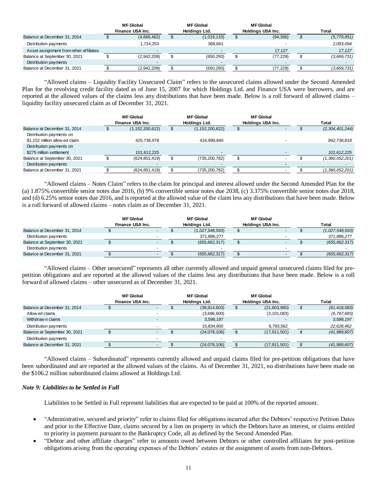|                                        | <b>MF Global</b><br>Finance USA Inc. |                          | <b>MF</b> Global |             |  | <b>MF Global</b>  |               |
|----------------------------------------|--------------------------------------|--------------------------|------------------|-------------|--|-------------------|---------------|
|                                        |                                      |                          | Holdings Ltd.    |             |  | Holdings USA Inc. | Total         |
| Balance at December 31, 2014           |                                      | (4,666,462)              |                  | (1,019,133) |  | (94, 356)         | (5, 779, 951) |
| Distribution payments                  |                                      | .724.253                 |                  | 368.841     |  |                   | 2,093,094     |
| Asset assignment from other affiliates |                                      | $\overline{\phantom{0}}$ |                  |             |  | 17.127            | 17.127        |
| Balance at September 30, 2021          |                                      | (2,942,209)              |                  | (650, 293)  |  | (77,229)          | (3,669,731)   |
| Distribution payments                  |                                      |                          |                  |             |  |                   |               |
| Balance at December 31, 2021           |                                      | (2.942.209)              |                  | (650, 293)  |  | (77, 229)         | (3,669,731)   |

"Allowed claims – Liquidity Facility Unsecured Claim" refers to the unsecured claims allowed under the Second Amended Plan for the revolving credit facility dated as of June 15, 2007 for which Holdings Ltd. and Finance USA were borrowers, and are reported at the allowed values of the claims less any distributions that have been made. Below is a roll forward of allowed claims – liquidity facility unsecured claim as of December 31, 2021.

|                                                            | <b>MF</b> Global<br>Finance USA Inc. | <b>MF Global</b><br>Holdings Ltd. | <b>MF Global</b><br>Holdings USA Inc. | Total           |
|------------------------------------------------------------|--------------------------------------|-----------------------------------|---------------------------------------|-----------------|
| Balance at December 31, 2014                               | (1, 152, 200, 622)                   | (1, 152, 200, 622)                |                                       | (2,304,401,244) |
| Distribution payments on<br>\$1,152 million allow ed claim | 425,736,978                          | 416,999,840                       |                                       | 842,736,818     |
| Distribution payments on<br>\$275 million settlement       | 101,612,225                          |                                   |                                       | 101,612,225     |
| Balance at September 30, 2021                              | (624, 851, 419)                      | (735, 200, 782)                   |                                       | (1,360,052,201) |
| Distribution payments                                      |                                      |                                   |                                       |                 |
| Balance at December 31, 2021                               | (624, 851, 419)                      | (735,200,782)                     |                                       | (1,360,052,201) |

"Allowed claims – Notes Claim" refers to the claim for principal and interest allowed under the Second Amended Plan for the (a) 1.875% convertible senior notes due 2016, (b) 9% convertible senior notes due 2038, (c) 3.375% convertible senior notes due 2018, and (d) 6.25% senior notes due 2016, and is reported at the allowed value of the claim less any distributions that have been made. Below is a roll forward of allowed claims – notes claim as of December 31, 2021.

|                               | MF Global<br>Finance USA Inc. | <b>MF Global</b><br>Holdings Ltd. | MF Global<br>Holdings USA Inc. | <b>Total</b>    |
|-------------------------------|-------------------------------|-----------------------------------|--------------------------------|-----------------|
| Balance at December 31, 2014  | $\blacksquare$                | (1,027,548,593)                   |                                | (1,027,548,593) |
| Distribution payments         |                               | 371,886,277                       |                                | 371,886,277     |
| Balance at September 30, 2021 |                               | (655, 662, 317)                   |                                | (655, 662, 317) |
| Distribution payments         |                               |                                   |                                |                 |
| Balance at December 31, 2021  | $\overline{\phantom{a}}$      | (655, 662, 317)                   |                                | (655, 662, 317) |

"Allowed claims – Other unsecured" represents all other currently allowed and unpaid general unsecured claims filed for prepetition obligations and are reported at the allowed values of the claims less any distributions that have been made. Below is a roll forward of allowed claims – other unsecured as of December 31, 2021.

|                               | <b>MF</b> Global<br>Finance USA Inc. |                          | <b>MF</b> Global<br>Holdings Ltd. |              | <b>MF Global</b><br>Holdings USA Inc. |                | <b>Total</b> |                |
|-------------------------------|--------------------------------------|--------------------------|-----------------------------------|--------------|---------------------------------------|----------------|--------------|----------------|
| Balance at December 31, 2014  |                                      | ۰.                       |                                   | (39,814,603) |                                       | (21,603,980)   | S            | (61, 418, 583) |
| Allow ed claims               |                                      | ٠                        |                                   | (3,696,600)  |                                       | (3, 101, 083)  |              | (6, 797, 683)  |
| Withdraw n claims             |                                      | $\overline{\phantom{0}}$ |                                   | 3,598,197    |                                       |                |              | 3,598,197      |
| Distribution payments         |                                      |                          |                                   | 15,834,900   |                                       | 6,793,562      |              | 22,628,462     |
| Balance at September 30, 2021 |                                      | $\overline{\phantom{0}}$ |                                   | (24,078,106) |                                       | (17, 911, 501) |              | (41,989,607)   |
| Distribution payments         |                                      |                          |                                   |              |                                       |                |              |                |
| Balance at December 31, 2021  |                                      | $\overline{\phantom{0}}$ |                                   | (24,078,106) |                                       | (17, 911, 501) |              | (41,989,607)   |

"Allowed claims – Subordinated" represents currently allowed and unpaid claims filed for pre-petition obligations that have been subordinated and are reported at the allowed values of the claims. As of December 31, 2021, no distributions have been made on the \$106.2 million subordinated claims allowed at Holdings Ltd.

# *Note 9: Liabilities to be Settled in Full*

Liabilities to be Settled in Full represent liabilities that are expected to be paid at 100% of the reported amount.

- "Administrative, secured and priority" refer to claims filed for obligations incurred after the Debtors' respective Petition Dates and prior to the Effective Date, claims secured by a lien on property in which the Debtors have an interest, or claims entitled to priority in payment pursuant to the Bankruptcy Code, all as defined by the Second Amended Plan.
- "Debtor and other affiliate charges" refer to amounts owed between Debtors or other controlled affiliates for post-petition obligations arising from the operating expenses of the Debtors' estates or the assignment of assets from non-Debtors.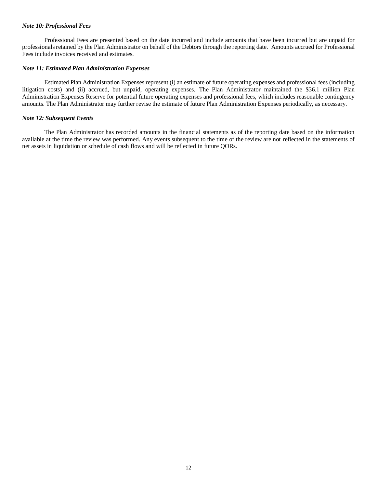## *Note 10: Professional Fees*

Professional Fees are presented based on the date incurred and include amounts that have been incurred but are unpaid for professionals retained by the Plan Administrator on behalf of the Debtors through the reporting date. Amounts accrued for Professional Fees include invoices received and estimates.

## *Note 11: Estimated Plan Administration Expenses*

Estimated Plan Administration Expenses represent (i) an estimate of future operating expenses and professional fees (including litigation costs) and (ii) accrued, but unpaid, operating expenses. The Plan Administrator maintained the \$36.1 million Plan Administration Expenses Reserve for potential future operating expenses and professional fees, which includes reasonable contingency amounts. The Plan Administrator may further revise the estimate of future Plan Administration Expenses periodically, as necessary.

## *Note 12: Subsequent Events*

The Plan Administrator has recorded amounts in the financial statements as of the reporting date based on the information available at the time the review was performed. Any events subsequent to the time of the review are not reflected in the statements of net assets in liquidation or schedule of cash flows and will be reflected in future QORs.